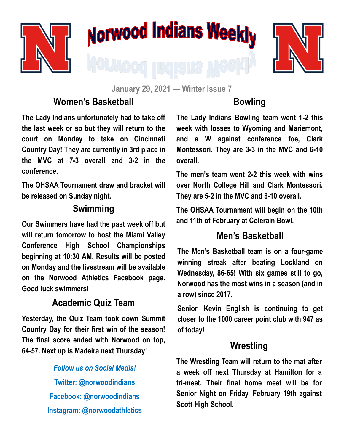

# Norwood Indians Weekly



**January 29, 2021 — Winter Issue 7**

# **Women's Basketball**

**The Lady Indians unfortunately had to take off the last week or so but they will return to the court on Monday to take on Cincinnati Country Day! They are currently in 3rd place in the MVC at 7-3 overall and 3-2 in the conference.** 

**The OHSAA Tournament draw and bracket will be released on Sunday night.** 

## **Swimming**

**Our Swimmers have had the past week off but will return tomorrow to host the Miami Valley Conference High School Championships beginning at 10:30 AM. Results will be posted on Monday and the livestream will be available on the Norwood Athletics Facebook page. Good luck swimmers!**

## **Academic Quiz Team**

**Yesterday, the Quiz Team took down Summit Country Day for their first win of the season! The final score ended with Norwood on top, 64-57. Next up is Madeira next Thursday!**

> *Follow us on Social Media!* **Twitter: @norwoodindians Facebook: @norwoodindians Instagram: @norwoodathletics**

# **Bowling**

**The Lady Indians Bowling team went 1-2 this week with losses to Wyoming and Mariemont, and a W against conference foe, Clark Montessori. They are 3-3 in the MVC and 6-10 overall.** 

**The men's team went 2-2 this week with wins over North College Hill and Clark Montessori. They are 5-2 in the MVC and 8-10 overall.** 

**The OHSAA Tournament will begin on the 10th and 11th of February at Colerain Bowl.** 

## **Men's Basketball**

**The Men's Basketball team is on a four-game winning streak after beating Lockland on Wednesday, 86-65! With six games still to go, Norwood has the most wins in a season (and in a row) since 2017.** 

**Senior, Kevin English is continuing to get closer to the 1000 career point club with 947 as of today!**

#### **Wrestling**

**The Wrestling Team will return to the mat after a week off next Thursday at Hamilton for a tri-meet. Their final home meet will be for Senior Night on Friday, February 19th against Scott High School.**